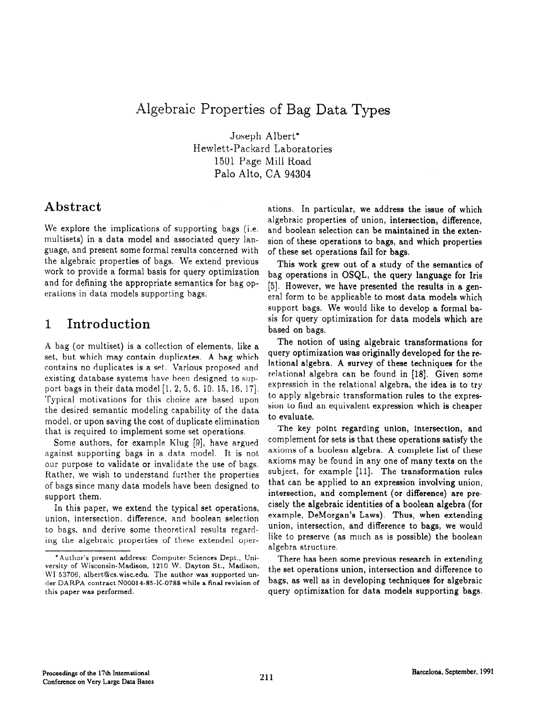# Algebraic Properties of Bag Data Types

Joseph Albert\* Hewlett-Packard Laboratories 1501 Page Mill Road Palo Alto, CA 94304

## Abstract

We explore the implications of supporting bags (i.e. multisets) in a data model and associated query language, and present some formal results concerned with the algebraic properties of bags. We extend previous work to provide a formal basis for query optimization and for defining the appropriate semantics for bag operations in data models supporting bags.

## 1 Introduction

A bag (or multiset) is a collection of elements, like a set, but which may contain duplicates. A bag which contains no duplicates is a set. Various proposed and existing database systems have been designed to support bags in their data model  $[1, 2, 5, 6, 10, 15, 16, 17]$ . Typical motivations for this choice are based upon the desired semantic modeling capability of the data model, or upon saving the cost of duplicate elimination that is required to implement some set operations.

Some authors, for example  $K\left[\right.$  [9], have argued against supporting bags in a data model. It is not our purpose to validate or invalidate the use of bags. Rather, we wish to understand further the properties of bags since many data models have been designed to support them.

In this paper, we extend the typical set operations. union, intersection, difference, and boolean selection to bags, and derive some theoretical results regarding the algebraic properties of these extended oper-

ations. In particular, we address the issue of which algebraic properties of union, intersection, difference, and boolean selection can be maintained in the extension of these operations to bags, and which properties of these set operations fail for bags.

This work grew out of a study of the semantics of bag operations in OSQL, the query language for Iris [5]. However, we have presented the results in a general form to be applicable to most data models which support bags. We would like to develop a formal basis for query optimization for data models which are based on bags.

The notion of using algebraic transformations for query optimization was originally developed for the relational algebra. A survey of these techniques for the relational algebra can be found in [18]. Given some expression in the relational algebra, the idea is to try to apply algebraic transformation rules to the expression to find an equivalent expression which is cheaper to evaluate.

The key point regarding union, intersection, and complement for sets is that these operations satisfy the axioms of a boolean algebra. A complete list of these axioms may be found in any one of many texts on the subject, for example (Ill. The transformation rules that can be applied to an expression involving union, intersection, and complement (or difference) are precisely the algebraic identities of a boolean algebra (for example, DeMorgan's Laws). Thus, when extending union, intersection, and difference to bags, we would like to preserve (as much as is possible) the boolean algebra structure.

There has been some previous research in extending the set operations union, intersection and difference to bags, as well as in developing techniques for algebraic query optimization for data models supporting bags.

<sup>&#</sup>x27;Author's present address: Computer Sciences Dept., University of Wisconsin-Madison, 1210 W. Dayton St., Madison, WI 53706, albert@cs.wisc.edu. The author was supported under DARPA contract N00014-85-K-0788 while a final revision of this paper was performed.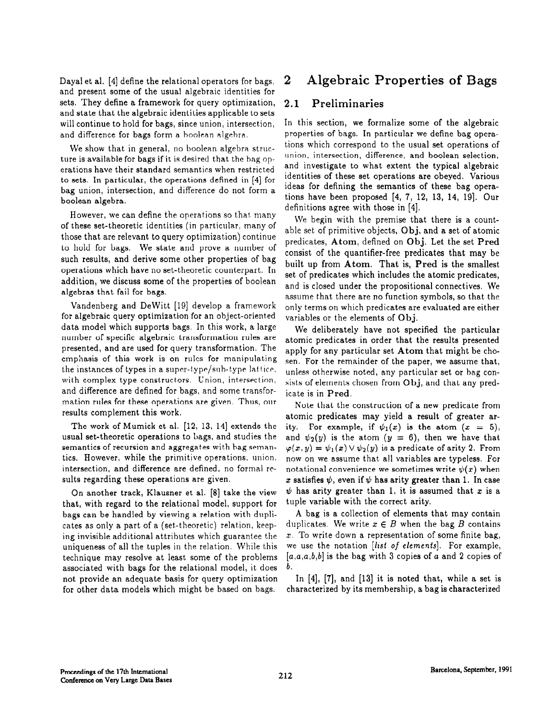and present some of the usual algebraic identities for sets. They define a framework for query optimization, 2.1 Preliminaries and state that the algebraic identities applicable to sets will continue to hold for bags, since union, intersection, In this section, we formalize some of the algebraic and difference for bags form a boolean algebra. properties of bags. In particular we define bag opera-

bag union, intersection, and difference do not form a

However, we can define the operations so that many of these set-theoretic identities (in particular, many of we begin with the premise that there is a count-<br>of these set-theoretic identities (in particular, many of able set of primitive objects, Obj, and a set of atomic those that are relevant to query optimization) continue able set of primitive objects, Obj, and a set of atomic to hold for bags. We state and prove a number of consist of the quantifier-free predicates that may be such results, and derive some other properties of bag built up from Atom. That is, Pred is the smallest operations which have no set-theoretic counterpart. In addition, we discuss some of the properties of boolean addition, we discuss some of the properties of boolean and is closed under the propositional connectives. We algebras that fail for bags.

Vandenberg and Dewitt [19] develop a framework for algebraic query optimization for an object-oriented data model which supports bags. In this work, a large number of specific algebraic transformation rules are presented, and are used for query transformation. The emphasis of this work is on rules for manipulating the instances of types in a super-type/sub-type lattice, with complex type constructors. Union, intersection, and difference are defined for bags, and some transformation rules for these operations are given. Thus, our results complement this work.

The work of Mumick et al. [12, 13, 14] extends the usual set-theoretic operations to bags, and studies the semantics of recursion and aggregates with bag semantics. However, while the primitive operations, union, intersection, and difference are defined, no formal results regarding these operations are given.

On another track, Klausner et al. [8] take the view that, with regard to the relational model, support for bags can be handled by viewing a relation with duplicates as only a part of a (set-theoretic) relation, keeping invisible additional attributes which guarantee the uniqueness of all the tuples in the relation. While this technique may resolve at least some of the problems associated with bags for the relational model, it does not provide an adequate basis for query optimization for other data models which might be based on bags.

# Dayal et al. [4] define the relational operators for bags, 2 Algebraic Properties of Bags

We show that in general, no boolean algebra struc-<br>regis available for bags if it is desired that the bag on union, intersection, difference, and boolean selection, ture is available for bags if it is desired that the hag op-<br>contione have their standard comanties when restricted and investigate to what extent the typical algebraic erations have their standard semantics when restricted and investigate to what extent the typical algebraic<br>to sets. In particular, the operations defined in [4] for identities of these set operations are obeyed. Various to sets. In particular, the operations defined in [4] for identities of these set operations are obeyed. Various<br>has union, intersection, and difference do not form a lideas for defining the semantics of these bag opera- $\frac{1}{2}$  tions have been proposed  $[4, 7, 12, 13, 14, 19]$ . Our boolean algebra. definitions agree with those in [4].

> set of predicates which includes the atomic predicates, assume that there are no function symbols, so that the only terms on which predicates are evaluated are either variables or the elements of Obj.

> We deliberately have not specified the particular atomic predicates in order that the results presented apply for any particular set Atom that might be chosen. For the remainder of the paper, we assume that, unless otherwise noted, any particular set or bag consists of elements chosen from Obj, and that any predicate is in Pred.

> Note that the construction of a new predicate from atomic predicates may yield a result of greater arity. For example, if  $\psi_1(x)$  is the atom  $(x = 5)$ , and  $\psi_2(y)$  is the atom  $(y = 6)$ , then we have that  $\varphi(x, y) = \psi_1(x) \vee \psi_2(y)$  is a predicate of arity 2. From now on we assume that all variables are typeless. For notational convenience we sometimes write  $\psi(x)$  when x satisfies  $\psi$ , even if  $\psi$  has arity greater than 1. In case  $\psi$  has arity greater than 1, it is assumed that x is a tuple variable with the correct arity.

> A bag is a collection of elements that may contain duplicates. We write  $x \in B$  when the bag B contains  $x$ . To write down a representation of some finite bag, we use the notation [*list of elements*]. For example,  $[a,a,a,b,b]$  is the bag with 3 copies of a and 2 copies of b.

> In [4], [7], and [13] it is noted that, while a set is characterized by its membership, a bag is characterized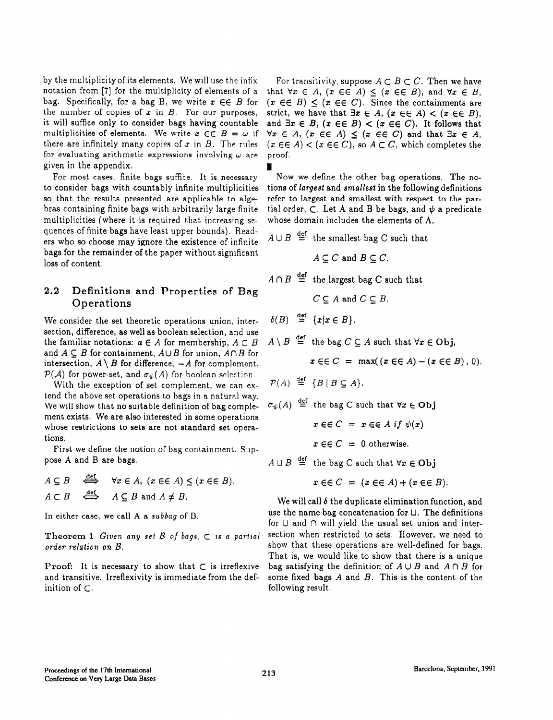by the multiplicity of its elements. We will use the infix For transitivity, suppose  $A \subset B \subset C$ . Then we have notation from [7] for the multiplicity of elements of a that  $\forall x \in A$ ,  $(x \in \in A) \leq (x \in \in B)$ , and  $\forall x \in B$ , bag. Specifically, for a bag B, we write  $x \in \in B$  for  $(x \in \in B) < (x \in \in C)$ . Since the containments are the number of copies of  $x$  in  $B$ . For our purposes, it will suffice only to consider bags having countable multiplicities of elements. We write  $x \in \in B = \omega$  if  $\forall x \in A$ ,  $(x \in \in A) \leq (x \in \in C)$  and that  $\exists x \in A$ , there are infinitely many copies of x in B. The rules  $(x \in \in A) < (x \in \in C)$ , so  $A \subset C$ , which completes the for evaluating arithmetic expressions involving  $\omega$  are proof. given in the appendix.

For most cases, finite bags suffice. It is necessary to consider bags with countably infinite multiplicities so that the results presented are applicable to algebras containing finite bags with arbitrarily large finite multiplicities (where it is required that increasing sequences of finite bags have least upper bounds). Readers who so choose may ignore the existence of infinite bags for the remainder of the paper without significant loss of content.

### 2.2 Definitions and Properties of Bag Operations

We consider the set theoretic operations union, intersection, difference, as well as boolean selection, and use the familiar notations:  $a \in A$  for membership,  $A \subset B$ and  $A \subseteq B$  for containment,  $A \cup B$  for union,  $A \cap B$  for intersection,  $A \setminus B$  for difference,  $-A$  for complement,  $\mathcal{P}(\mathcal{A})$  for power-set, and  $\sigma_{\psi}(A)$  for boolean selection.

With the exception of set complement, we can extend the above set operations to bags in a natural way. We will show that no suitable definition of bag complement exists. We are also interested in some operations whose restrictions to sets are not standard set operations.

First we define the notion of bag containment. Suppose A and B are bags.

$$
A \subseteq B \quad \stackrel{\text{def}}{\iff} \quad \forall x \in A, \ (x \in \in A) \le (x \in \in B).
$$
  

$$
A \subset B \quad \stackrel{\text{def}}{\iff} \quad A \subseteq B \text{ and } A \neq B.
$$

In either case, we call A a subbag of B.

Theorem 1 Given any set  $\beta$  of bags,  $\subset$  is a partial order relation on  $B$ .

**Proof:** It is necessary to show that  $\subset$  is irreflexive and transitive. Irreflexivity is immediate from the definition of  $\subset$ .

 $(x \in E)$  <  $(x \in E)$ . Since the containments are strict, we have that  $\exists x \in A$ ,  $(x \in \in A) < (x \in \in B)$ , and  $\exists x \in B$ ,  $(x \in \in B) < (x \in \in C)$ . It follows that

Now we define the other bag operations. The notions of largest and smallest in the following definitions refer to largest and smallest with respect to the partial order,  $\subset$ . Let A and B be bags, and  $\psi$  a predicate whose domain includes the elements of A.

 $A \cup B \stackrel{\text{def}}{=}$  the smallest bag C such that

$$
A \subseteq C \text{ and } B \subseteq C.
$$

 $A \cap B \stackrel{\text{def}}{=}$  the largest bag C such that

$$
C \subseteq A \text{ and } C \subseteq B.
$$

 $\delta(B) \stackrel{\text{def}}{=} \{x | x \in B\}.$ 

 $A\setminus B \stackrel{\text{def}}{=}$  the bag  $C \subseteq A$  such that  $\forall x \in \text{Obj}$ ,

$$
x \in \in C = \max((x \in \in A) - (x \in \in B), 0).
$$

 $\mathcal{P}(A) \stackrel{\text{def}}{=} \{B \mid B \subseteq A\}.$ 

$$
\sigma_{\psi}(A) \stackrel{\text{def}}{=} \text{ the bag } C \text{ such that } \forall x \in \text{Obj}
$$
\n
$$
x \in C = x \in A \text{ if } \psi(x)
$$
\n
$$
x \in C = 0 \text{ otherwise.}
$$

 $A \sqcup B \stackrel{\text{def}}{=}$  the bag C such that  $\forall x \in \text{Obj}$ 

 $x \in \in C = (x \in A) + (x \in B).$ 

We will call  $\delta$  the duplicate elimination function, and use the name bag concatenation for U. The definitions for  $\cup$  and  $\cap$  will yield the usual set union and intersection when restricted to sets. However, we need to show that these operations are well-defined for bags. That is, we would like to show that there is a unique bag satisfying the definition of  $A \cup B$  and  $A \cap B$  for some fixed bags  $A$  and  $B$ . This is the content of the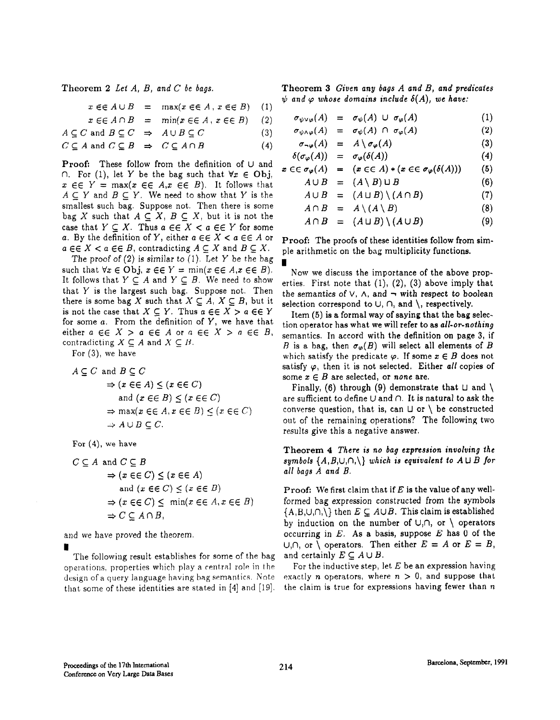Theorem 2 Let  $A$ ,  $B$ , and  $C$  be bags.

 $x \in A \cup B$  $=$  max( $x \in A$ ,  $x \in B$ ) (1)

 $x \in \in A \cap B$ 

$$
A \subseteq C \text{ and } B \subseteq C \implies A \cup B \subseteq C \tag{3}
$$

$$
C \subseteq A \text{ and } C \subseteq B \implies C \subseteq A \cap B \tag{4}
$$

 $\cap$ . For (1), let Y be the bag such that  $\forall x \in \text{Obj},$  $x \in Y = \max(x \in \mathcal{E} \mid A, x \in \mathcal{E} \mid B)$ . It follows that  $A \cup B = (A \setminus B) \cup B$  (6)  $A \subseteq Y$  and  $B \subseteq Y$ . We need to show that Y is the smallest such bag. Suppose not. Then there is some bag X such that  $A \subseteq X$ ,  $B \subseteq X$ , but it is not the case that  $Y \subseteq X$ . Thus  $a \in \in X < a \in \in Y$  for some a. By the definition of Y, either  $a \in \mathcal{E} \leq a \in \mathcal{E}$  or  $a \in K < a \in E$ , contradicting  $A \subseteq X$  and  $B \subseteq X$ .

The proof of  $(2)$  is similar to  $(1)$ . Let Y be the bag such that  $\forall x \in \text{Obj}, x \in \in Y = \min(x \in \in A, x \in \in B).$ It follows that  $Y \subseteq A$  and  $Y \subseteq B$ . We need to show that Y is the largest such bag. Suppose not. Then there is some bag X such that  $X \subseteq A$ ,  $X \subseteq B$ , but it is not the case that  $X \subseteq Y$ . Thus  $a \in \in X > a \in \in Y$ for some  $a$ . From the definition of  $Y$ , we have that either  $a \in K > a \in A$  or  $a \in K > a \in B$ , contradicting  $X \subseteq A$  and  $X \subseteq B$ .

For (3), we have

$$
A \subseteq C \text{ and } B \subseteq C
$$
  
\n
$$
\Rightarrow (x \in \in A) \le (x \in \in C)
$$
  
\n
$$
\Rightarrow (x \in C) \le (x \in C)
$$

$$
(\omega \cos \theta) = (\omega \cos \theta)
$$

$$
\rightarrow A \cup B \subset C
$$

For (4), we have

$$
C \subseteq A \text{ and } C \subseteq B
$$
  
\n
$$
\Rightarrow (x \in \in C) \le (x \in \in A)
$$
  
\nand  $(x \in \in C) \le (x \in \in B)$   
\n
$$
\Rightarrow (x \in \in C) \le \min(x \in \in A, x \in \in B)
$$
  
\n
$$
\Rightarrow C \subseteq A \cap B,
$$

The following result establishes for some of the bag and certainly  $E \subseteq A \cup B$ .<br>Jerations, properties which play a central role in the For the inductive step, let E be an expression having operations, properties which play a central role in the that some of these identities are stated in [4] and [19]. the claim is true for expressions having fewer than  $n$ 

Theorem 3 Given any bags  $A$  and  $B$ , and predicates  $\psi$  and  $\varphi$  whose domains include  $\delta(A)$ , we have:

$$
= \min(x \in \in A, x \in \in B) \quad (2) \qquad \sigma_{\psi \vee \varphi}(A) = \sigma_{\psi}(A) \cup \sigma_{\varphi}(A) \quad (1)
$$
\n
$$
\Rightarrow 4 \cup B \subseteq C \qquad (2) \qquad \sigma_{\psi \vee \varphi}(A) = \sigma_{\psi}(A) \cap \sigma_{\varphi}(A) \quad (2)
$$

$$
\Rightarrow A \cup B \subseteq C \qquad (3) \qquad \sigma_{\psi \wedge \varphi}(A) = \sigma_{\psi}(A) \cap \sigma_{\varphi}(A) \qquad (2)
$$

$$
\Rightarrow C \subseteq A \cap B \qquad (4) \qquad \sigma_{\neg \varphi}(A) = A \setminus \sigma_{\varphi}(A) \qquad (3)
$$

Proof: These follow from the definition of 
$$
\cup
$$
 and  $\delta(\sigma_{\varphi}(A)) = \sigma_{\varphi}(\delta(A))$  (4)

$$
\epsilon \in \sigma_{\varphi}(A) = (x \epsilon \epsilon A) * (x \epsilon \epsilon \sigma_{\varphi}(o(A))) \qquad (3)
$$

$$
A \cup B = (A \setminus B) \cup B \tag{6}
$$

$$
A \cup B = (A \cup B) \setminus (A \cap B) \tag{7}
$$

$$
A \cap B = A \setminus (A \setminus B) \tag{8}
$$

$$
A \cap B = (A \cup B) \setminus (A \cup B) \tag{9}
$$

Proof: The proofs of these identities follow from simple arithmetic on the bag multiplicity functions. ,

Now we discuss the importance of the above properties. First note that  $(1)$ ,  $(2)$ ,  $(3)$  above imply that the semantics of  $\vee$ ,  $\wedge$ , and  $\neg$  with respect to boolean selection correspond to  $\cup$ ,  $\cap$ , and  $\setminus$ , respectively.

Item (5) is a formal way of saying that the bag selection operator has what we will refer to as all-or-nothing semantics. In accord with the definition on page 3, if B is a bag, then  $\sigma_{\varphi}(B)$  will select all elements of B which satisfy the predicate  $\varphi$ . If some  $x \in B$  does not satisfy  $\varphi$ , then it is not selected. Either all copies of some  $x \in B$  are selected, or none are.

Finally, (6) through (9) demonstrate that  $\sqcup$  and  $\setminus$ and  $(x \in \in B) \le (x \in \in C)$  are sufficient to define U and  $\cap$ . It is natural to ask the  $\Rightarrow$  max( $x \in \in A$ ,  $x \in \in B$ )  $\leq$  ( $x \in \in C$ ) converse question, that is, can  $\sqcup$  or  $\setminus$  be constructed  $\Rightarrow A \cup B \subseteq C.$  out of the remaining operations? The following two results give this a negative answer.

> Theorem 4 There is no bag expression involving the symbols  $\{A, B, \cup, \cap, \setminus\}$  which is equivalent to  $A \sqcup B$  for all bags  $A$  and  $B$ .

Proof: We first claim that if  $E$  is the value of any wellformed bag expression constructed from the symbols  $\{A,B,U,\cap,\setminus\}$  then  $E\subseteq A\cup B$ . This claim is established by induction on the number of  $\cup, \cap$ , or  $\setminus$  operators and we have proved the theorem.  $\qquad \qquad$  occurring in E. As a basis, suppose E has 0 of the  $\bigcup_i \cap$ , or  $\setminus$  operators. Then either  $E = A$  or  $E = B$ , and certainly  $E \subseteq A \cup B$ .

design of a query language having bag semantics. Note exactly n operators, where  $n > 0$ , and suppose that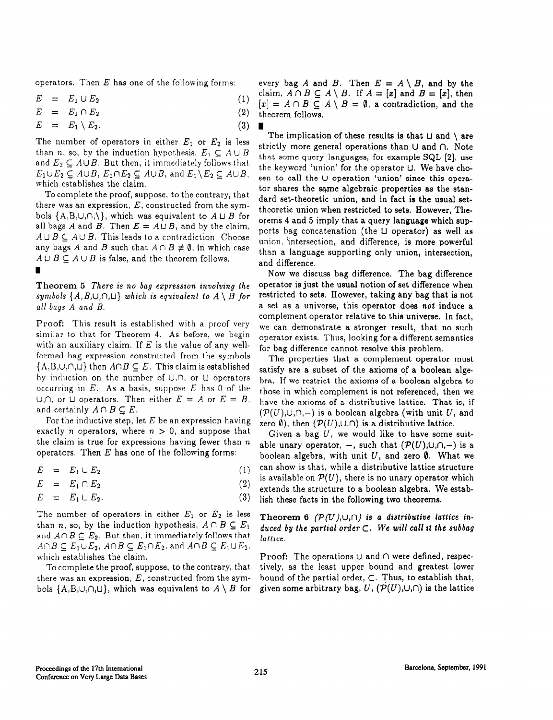$$
E = E_1 \cup E_2 \tag{1}
$$

$$
E = E_1 \cap E_2 \tag{2}
$$

$$
E = E_1 \setminus E_2. \tag{3}
$$

The number of operators in either  $E_1$  or  $E_2$  is less than n, so, by the induction hypothesis,  $E_1 \subset A \cup B$ and  $E_2 \subseteq A \cup B$ . But then, it immediately follows that.  $E_1 \cup E_2 \subseteq A \cup B$ ,  $E_1 \cap E_2 \subseteq A \cup B$ , and  $E_1 \setminus E_2 \subseteq A \cup B$ , which establishes the claim.

To complete the proof, suppose, to the contrary, that there was an expression,  $E$ , constructed from the symbols  $\{A,B,\cup,\cap,\setminus\}$ , which was equivalent to  $A \sqcup B$  for all bags A and B. Then  $E = A \sqcup B$ , and by the claim,  $A \sqcup B \subseteq A \cup B$ . This leads to a contradiction. Choose any bags A and B such that  $A \cap B \neq \emptyset$ , in which case  $A \sqcup B \subseteq A \cup B$  is false, and the theorem follows.

symbols  $\{A, B, \cup, \cap, \sqcup\}$  which is equivalent to  $A \setminus B$  for all bags. A and B.

Proof: This result is established with a proof very similar to that for Theorem 4. As before, we begin with an auxiliary claim. If  $E$  is the value of any wellformed bag expression constructed from the symbols  ${A,B,U,\cap,L}$  then  $A\cap B\subseteq E$ . This claim is established by induction on the number of  $\cup$ , $\cap$ , or  $\cup$  operators occurring in  $E$ . As a basis, suppose  $E$  has 0 of the  $U,\cap$ , or  $U$  operators. Then either  $E = A$  or  $E = B$ , and certainly  $A \cap B \subseteq E$ .

For the inductive step, let  $E$  be an expression having exactly *n* operators, where  $n > 0$ , and suppose that the claim is true for expressions having fewer than  $n$ operators. Then  $E$  has one of the following forms:

$$
E = E_1 \cup E_2 \tag{1}
$$

$$
E = E_1 \cap E_2
$$

$$
E = E_1 \cup E_2. \tag{3}
$$

The number of operators in either  $E_1$  or  $E_2$  is less Theorem 6 (P(U),U, n) is a distributive lattice inthan n, so, by the induction hypothesis,  $A \cap B \subseteq E_1$ and  $A \cap B \subseteq E_2$ . But then, it immediately follows that  $A \cap B \subseteq E_1 \cup E_2$ ,  $A \cap B \subseteq E_1 \cap E_2$ , and  $A \cap B \subseteq E_1 \cup E_2$ , which establishes the claim.

To complete the proof, suppose, to the contrary, that there was an expression, E, constructed from the sym-bound of the partial order, C. Thus, to establish that, bols  $\{A, B, \cup, \cap, \cup\}$ , which was equivalent to  $A \setminus B$  for given some arbitrary bag,  $U$ ,  $(\mathcal{P}(U), \cup, \cap)$  is

operators. Then E has one of the following forms: every bag A and B. Then  $E = A \setminus B$ , and by the claim,  $A \cap B \subseteq A \setminus B$ . If  $A = [x]$  and  $B = [x]$ , then  $[x] = A \cap B \subseteq A \setminus B = \emptyset$ , a contradiction, and the theorem follows.

> The implication of these results is that  $\sqcup$  and  $\setminus$  are strictly more general operations than  $\cup$  and  $\cap$ . Note that some query languages, for example SQL [2], use the keyword 'union' for the operator U. We have chosen to call the U operation 'union' since this operator shares the same algebraic properties as the standard set-theoretic union, and in fact is the usual settheoretic union when restricted to sets. However, Theorems 4 and 5 imply that a query language which supports bag concatenation (the U operator) as well as union, intersection, and difference, is more powerful than a language supporting only union, intersection, and difference.

Now we discuss bag difference. The bag difference Theorem 5 There is no bag expression involving the operator is just the usual notion of set difference when<br>sumbols  $\{A, B, \cup, \cap, \cup\}$  which is equivalent to  $A \setminus B$  for restricted to sets. However, taking any bag that is a set as a universe, this operator does not induce a complement operator relative to this universe. In fact, we can demonstrate a stronger result, that no such operator exists. Thus, looking for a different semantics for bag difference cannot resolve this problem

> The properties that a complement operator must satisfy are a subset of the axioms of a boolean algebra. If we restrict the axioms of a boolean algebra to those in which complement is not referenced, then we have the axioms of a distributive lattice. That is, if  $(\mathcal{P}(U),\cup,\cap,-)$  is a boolean algebra (with unit U, and zero  $\emptyset$ ), then  $(\mathcal{P}(U), \cup, \cap)$  is a distributive lattice.

> Given a bag  $U$ , we would like to have some suitable unary operator,  $-$ , such that  $(\mathcal{P}(U),\cup,\cap,-)$  is a boolean algebra, with unit U, and zero  $\emptyset$ . What we can show is that, while a distributive lattice structure is available on  $\mathcal{P}(U)$ , there is no unary operator which extends the structure to a boolean algebra. We establish these facts in the following two theorems.

> duced by the partial order  $\subset$ . We will call it the subbag /allice.

> **Proof:** The operations  $\cup$  and  $\cap$  were defined, respectively, as the least upper bound and greatest lower given some arbitrary bag,  $U$ ,  $(\mathcal{P}(U),\cup,\cap)$  is the lattice

(2)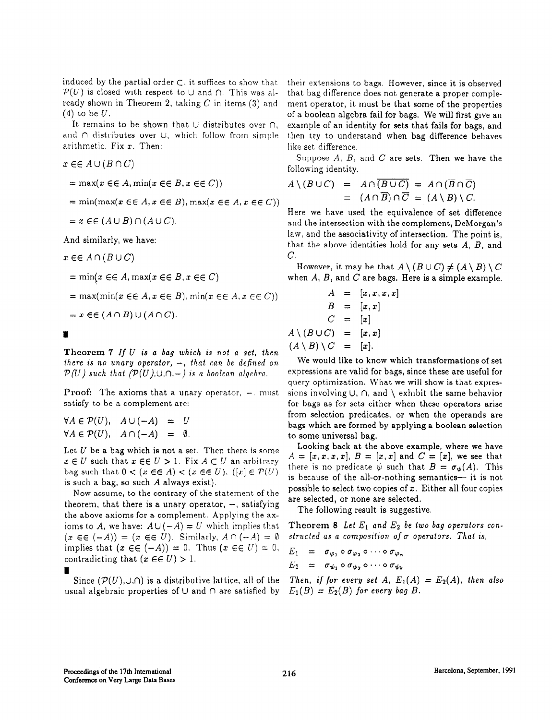induced by the partial order  $\subset$ , it suffices to show that  $\mathcal{P}(U)$  is closed with respect to U and  $\cap$ . This was already shown in Theorem 2, taking  $C$  in items (3) and  $(4)$  to be  $U$ .

It remains to be shown that  $\cup$  distributes over  $\cap$ , and  $\cap$  distributes over  $\cup$ , which follow from simple arithmetic. Fix  $x$ . Then:

$$
x \in \in A \cup (B \cap C)
$$

$$
= \max(x \in \in A, \min(x \in \in B, x \in \in C))
$$

$$
= \min(\max(x \in \in A, x \in \in B), \max(x \in \in A, x \in C))
$$

$$
= x \in \in (A \cup B) \cap (A \cup C).
$$

And similarly, we have:

 $x \in A \cap (B \cup C)$ 

$$
= \min(x \in \in A, \max(x \in \in B, x \in \in C)
$$

$$
= \max(\min(x \in \in A, x \in \in B), \min(x \in \in A, x \in \in C))
$$

 $= x \in (A \cap B) \cup (A \cap C).$ 

I

Theorem 7 If U is a bag which is not a set, then there is no unary operator,  $-$ , that can be defined on  $\mathcal{P}(U)$  such that  $(\mathcal{P}(U),\cup,\cap,-)$  is a boolean algebra.

**Proof:** The axioms that a unary operator,  $-$ , must satisfy to be a complement are:

$$
\forall A \in \mathcal{P}(U), \quad A \cup (-A) = U
$$
  

$$
\forall A \in \mathcal{P}(U), \quad A \cap (-A) = \emptyset.
$$

Let  $U$  be a bag which is not a set. Then there is some  $x \in U$  such that  $x \in \in U > 1$ . Fix  $A \subset U$  an arbitrary bag such that  $0 < (x \in A) < (x \in E)$ .  $([x] \in \mathcal{P}(U)$ is such a bag, so such A always exist).

Now assume, to the contrary of the statement of the theorem, that there is a unary operator,  $-$ , satisfying the above axioms for a complement. Applying the axioms to A, we have:  $A \cup (-A) = U$  which implies that  $(x \in (-A)) = (x \in \in U)$ . Similarly,  $A \cap (-A) = \emptyset$ implies that  $(x \in \in (-A)) = 0$ . Thus  $(x \in \in U) = 0$ , contradicting that  $(x \in \in U) > 1$ .

```
I
```

```
Since (\mathcal{P}(U),\cup,\cap) is a distributive lattice, all of the
usual algebraic properties of \cup and \cap are satisfied by
```
their extensions to bags. However, since it is observed that bag difference does not generate a proper complement operator, it must be that some of the properties of a boolean algebra fail for bags. We will first give an example of an identity for sets that fails for bags, and then try to understand when bag difference behaves like set difference.

Suppose  $A$ ,  $B$ , and  $C$  are sets. Then we have the following identity.

$$
A \setminus (B \cup C) = A \cap (\overline{B \cup C}) = A \cap (\overline{B} \cap \overline{C})
$$
  
= 
$$
(A \cap \overline{B}) \cap \overline{C} = (A \setminus B) \setminus C.
$$

Here we have used the equivalence of set difference and the intersection with the complement, DeMorgan's law, and the associativity of intersection. The point is, that the above identities hold for any sets  $A, B$ , and C.

However, it may be that  $A \setminus (B \cup C) \neq (A \setminus B) \setminus C$ when  $A$ ,  $B$ , and  $C$  are bags. Here is a simple example.

$$
A = [x, x, x, x]
$$
  
\n
$$
B = [x, x]
$$
  
\n
$$
C = [x]
$$
  
\n
$$
A \setminus (B \cup C) = [x, x]
$$
  
\n
$$
(A \setminus B) \setminus C = [x].
$$

We would like to know which transformations of set expressions are valid for bags, since these are useful for query optimization. What we will show is that expressions involving  $\cup$ ,  $\cap$ , and  $\setminus$  exhibit the same behavior for bags as for sets either when these operators arise from selection predicates, or when the operands are bags which are formed by applying a boolean selection to some universal bag.

Looking back at the above example, where we have  $A = [x, x, x, x], B = [x, x]$  and  $C = [x],$  we see that there is no predicate  $\psi$  such that  $B = \sigma_{\psi}(A)$ . This is because of the all-or-nothing semantics— it is not possible to select two copies of  $x$ . Either all four copies are selected, or none are selected.

The following result is suggestive.

Theorem 8 Let  $E_1$  and  $E_2$  be two bag operators constructed as a composition of  $\sigma$  operators. That is,

$$
E_1 = \sigma_{\varphi_1} \circ \sigma_{\varphi_2} \circ \cdots \circ \sigma_{\varphi_n}
$$
  

$$
E_2 = \sigma_{\psi_1} \circ \sigma_{\psi_2} \circ \cdots \circ \sigma_{\psi_k}
$$

Then, if for every set A,  $E_1(A) = E_2(A)$ , then also  $E_1(B) = E_2(B)$  for every bag B.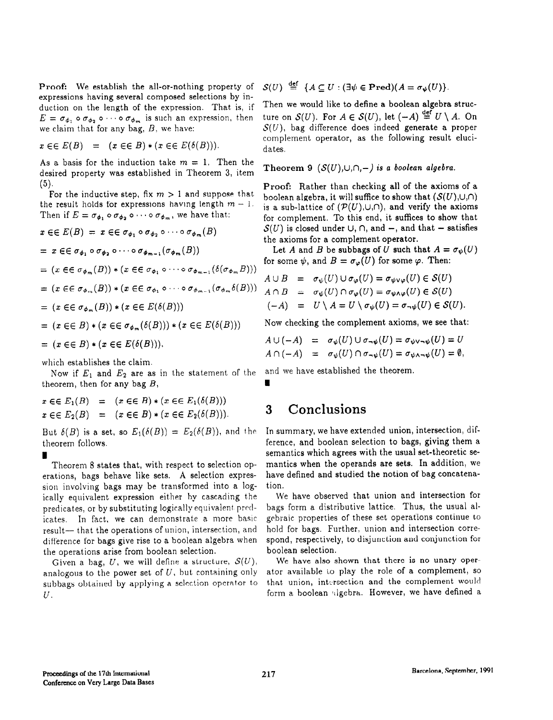**Proof:** We establish the all-or-nothing property of  $S(U) \stackrel{\text{def}}{=} \{A \subseteq U : (\exists \psi \in Pred)(A = \sigma_{\psi}(U)\}).$ expressions having several composed selections by induction on the length of the expression. That is, if Then we would like to define a boolean algebra struc-<br> $E = \sigma_A$ ,  $\circ \sigma_{A}$ ,  $\circ \cdots \circ \sigma_{A}$ , is such an expression, then ture on  $S(U)$ . For  $A \in S(U)$ , let  $(-A) \stackrel{\text{def}}{=} U \set$  $E = \sigma_{\phi_1} \circ \sigma_{\phi_2} \circ \cdots \circ \sigma_{\phi_m}$  is such an expression, then we claim that for any bag, B, we have:

$$
x \in E(B) = (x \in E) * (x \in E(\delta(B))).
$$

As a basis for the induction take  $m = 1$ . Then the desired property was established in Theorem 3, item Theorem 9  $(S(U),U,\cap,-)$  is a boolean algebra. (5).

For the inductive step, fix  $m > 1$  and suppose that the result holds for expressions having length  $m - 1$ . Then if  $E = \sigma_{\phi_1} \circ \sigma_{\phi_2} \circ \cdots \circ \sigma_{\phi_m}$ , we have that:

$$
x \in E(E) = x \in \sigma_{\phi_1} \circ \sigma_{\phi_2} \circ \cdots \circ \sigma_{\phi_m}(B)
$$
\n
$$
= x \in \sigma_{\phi_1} \circ \sigma_{\phi_2} \circ \cdots \circ \sigma_{\phi_{m-1}}(\sigma_{\phi_m}(B))
$$
\n
$$
= x \in \sigma_{\phi_1} \circ \sigma_{\phi_2} \circ \cdots \circ \sigma_{\phi_{m-1}}(\sigma_{\phi_m}(B))
$$
\nLet A and B be sub bags of U such that  $A = \sigma_{\psi}$  for some  $\psi$ , and  $B = \sigma_{\varphi}(U)$  for some  $\varphi$ . Then:  
\n
$$
= (x \in \sigma_{\phi_m}(B)) * (x \in \sigma_{\phi_1} \circ \cdots \circ \sigma_{\phi_{m-1}}(\delta(\sigma_{\phi_m}B)))
$$
\n
$$
= (x \in \sigma_{\phi_m}(B)) * (x \in \sigma_{\phi_1} \circ \cdots \circ \sigma_{\phi_{m-1}}(\sigma_{\phi_m}\delta(B)))
$$
\n
$$
= (x \in \sigma_{\phi_m}(B)) * (x \in E(\delta(B)))
$$
\n
$$
= (x \in \sigma_{\phi_m}(B)) * (x \in E(\delta(B)))
$$
\n
$$
= (x \in \sigma_{\phi_m}(\delta(B))) * (x \in E(\delta(B)))
$$
\n
$$
= (x \in \sigma_{\phi_m}(\delta(B))) * (x \in E(\delta(B)))
$$
\nNow checking the complement axioms, we see that  
\n
$$
= (x \in \sigma_{\phi_m}(\delta(B))) * (x \in E(\delta(B)))
$$
\n
$$
= \sigma_{\psi}(U) \cup \sigma_{\neg\psi}(U) = \sigma_{\psi \vee \neg \psi}(U) = U
$$
\n
$$
= \sigma_{\psi}(U) \cup \sigma_{\neg\psi}(U) = \sigma_{\psi \vee \neg \psi}(U) = U
$$
\n
$$
= \sigma_{\psi}(U) \cap \sigma_{\neg\psi}(U) = \sigma_{\psi \wedge \neg\psi}(U) = \emptyset
$$
\n
$$
= \sigma_{\psi}(U) \cap \sigma_{\neg\psi}(U) = \sigma_{\psi \wedge \neg\psi}(U) = \emptyset
$$

which establishes the claim.

Now if  $E_1$  and  $E_2$  are as in the statement of the and we have established the theorem. theorem, then for any bag  $B$ ,

$$
x \in E_1(B) = (x \in E) * (x \in E_1(\delta(B)))
$$
  
\n
$$
x \in E_2(B) = (x \in E) * (x \in E_2(\delta(B))).
$$
  
\n**3** Conclusions

But  $\delta(B)$  is a set, so  $E_1(\delta(B)) = E_2(\delta(B))$ , and the theorem follows.

I Theorem 8 states that, with respect to selection operations, bags behave like sets. A selection expression involving bags may be transformed into a logically equivalent expression either by cascading the predicates, or by substituting logically equivalent predicates. In fact, we can demonstrate a more basic result- that the operations of union, intersection, and difference for bags give rise to a boolean algebra when the operations arise from boolean selection.

Given a bag, U, we will define a structure,  $\mathcal{S}(U)$ , analogous to the power set of  $U$ , but containing only subbags obtained by applying a selection operator to  $U$ .

 $S(U)$ , bag, difference does indeed generate a proper complement operator, as the following result elucidates.

Proof: Rather than checking all of the axioms of a boolean algebra, it will suffice to show that  $(S(U),\cup,\cap)$ is a sub-lattice of  $(\mathcal{P}(U),\cup,\cap)$ , and verify the axioms for complement. To this end, it suffices to show that  $\mathcal{S}(U)$  is closed under  $\cup$ ,  $\cap$ , and  $-$ , and that  $-$  satisfies the axioms for a complement operator.

Let A and B be subbags of U such that  $A = \sigma_{\psi}(U)$ for some  $\psi$ , and  $B = \sigma_{\varphi}(U)$  for some  $\varphi$ . Then:

$$
A \cup B = \sigma_{\psi}(U) \cup \sigma_{\varphi}(U) = \sigma_{\psi \vee \varphi}(U) \in \mathcal{S}(U)
$$
  
\n
$$
A \cap B = \sigma_{\psi}(U) \cap \sigma_{\varphi}(U) = \sigma_{\psi \wedge \varphi}(U) \in \mathcal{S}(U)
$$
  
\n
$$
(-A) = U \setminus A = U \setminus \sigma_{\psi}(U) = \sigma_{\neg \psi}(U) \in \mathcal{S}(U).
$$

Now checking the complement axioms, we see that:

$$
A \cup (-A) = \sigma_{\psi}(U) \cup \sigma_{\psi}(U) = \sigma_{\psi \vee \psi}(U) = U
$$
  

$$
A \cap (-A) = \sigma_{\psi}(U) \cap \sigma_{\psi}(U) = \sigma_{\psi \wedge \psi}(U) = \emptyset,
$$

In summary, we have extended union, intersection, difference, and boolean selection to bags, giving them a semantics which agrees with the usual set-theoretic semantics when the operands are sets. In addition, we have defined and studied the notion of bag concatenation.

We have observed that union and intersection for bags form a distributive lattice. Thus, the usual algebraic properties of these set operations continue to hold for bags. Further, union and intersection correspond, respectively, to disjunction and conjunction for boolean selection.

We have also shown that there is no unary operator available to play the role of a complement, so that union, intersection and the complement would form a boolean algebra. However, we have defined a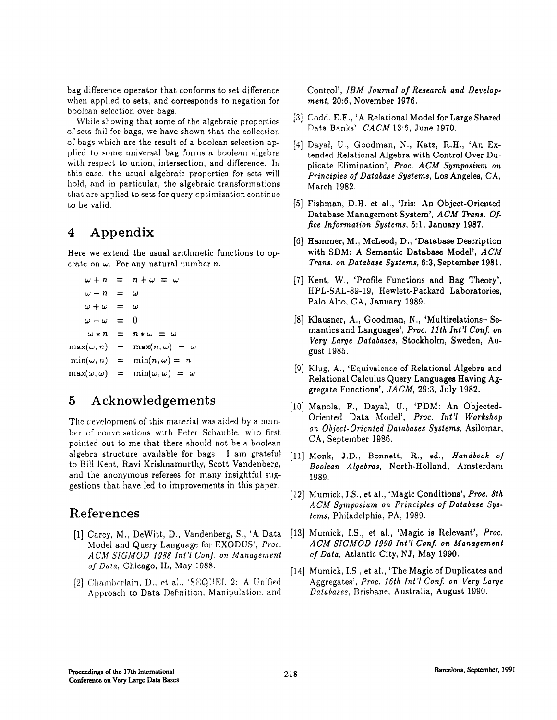bag difference operator that conforms to set difference when applied to sets, and corresponds to negation for boolean selection over bags.

While showing that some of the algebraic properties of sets fail for bags, we have shown that the collection of bags which are the result of a boolean selection applied to some universal bag forms a boolean algebra with respect to union, intersection, and difference. In this case, the usual algebraic properties for sets will hold, and in particular, the algebraic transformations that are applied to sets for query optimization continue to be valid.

# 4 Appendix

Here we extend the usual arithmetic functions to operate on  $\omega$ . For any natural number n,

```
\omega + n = n + \omega = \omega\omega - n = \omega\omega + \omega = \omega\omega - \omega = 0\omega * n = n * \omega = \omegamax(\omega, n) = max(n, \omega) = \omega\min(\omega, n) = \min(n, \omega) = n\max(\omega,\omega) = \min(\omega,\omega) = \omega
```
# 5 Acknowledgements

The development of this material was aided by a number of conversations with Peter Schauble. who first pointed out to me that there should not be a boolean algebra structure available for bags. 1 am grateful to Bill Kent, Ravi Krishnamurthy, Scott Vandenberg, and the anonymous referees for many insightful suggestions that have led to improvements in this paper.

## References

- [l] Carey, M., Dewitt, D., Vandenberg, S., 'A Data Model and Query Language for EXODUS', Proc. ACM SIGMOD 1988 Int'l Conf. on Management of Data, Chicago, IL, May 1988.
- [2] Chamberlain, D., et al., 'SEQUEL 2: A Unified Approach to Data Definition, Manipulation, and

Control', IBM Journal of Research and Development, 20:6, November 1976.

- [3] Codd, E.F., 'A Relational Model for Large Shared Data Banks', CACM 13:6, June 1970.
- [41 Dayal, U., Goodman, N., Katz, R.H., 'An Extended Relational Algebra with Control Over Duplicate Elimination', Proc. ACM Symposium on Principles of Database Systems, Los Angeles, CA, March 1982.
- 151 Fishman, D.H. et al., 'Iris: An Object-Oriented Database Management System', ACM Trans. Office Information Systems, 5:1, January 1987.
- [6] Hammer, M., McLeod, D., 'Database Description with SDM: A Semantic Database Model', ACM Trans. on Database Systems, 6:3, September 1981.
- [7] Kent, W., 'Profile Functions and Bag Theory' HPL-SAL-89-19, Hewlett-Packard Laboratories, Palo Alto, CA, January 1989.
- [8] Klausner, A., Goodman, N., 'Multirelations-- Semantics and Languages', Proc. 11th Int'l Conf. on Very Large Databases, Stockholm, Sweden, August 1985.
- 191 Klug, A., 'Equivalence of Relational Algebra and Relational Calculus Query Languages Having Aggregate Functions',  $JACM$ , 29:3, July 1982.
- IlO1 Manola, F., Dayal, U., 'PDM: An Objected-Oriented Data Model', Proc. Int'l Workshop on Object-Oriented Databases Systems, Asilomar, CA, September 1986.
- [11] Monk, J.D., Bonnett, R., ed., Handbook of Boolean Algebras, North-Holland, Amsterdam 1989.
- [12] Mumick, I.S., et al., 'Magic Conditions', *Proc. 8th* ACM Symposium on Principles of Database Systems, Philadelphia, PA, 1989.
- [13] Mumick, I.S., et al., 'Magic is Relevant', *Proc.* ACM SIGMOD 1990 Int'l Conf. on Management of Data, Atlantic City, NJ, May 1990.
- 1141 Mumick, IS., et al., 'The Magic of Duplicates and Aggregates', Proc. 16th Int'l Conf. on Very Large Databases, Brisbane, Australia, August 1990.